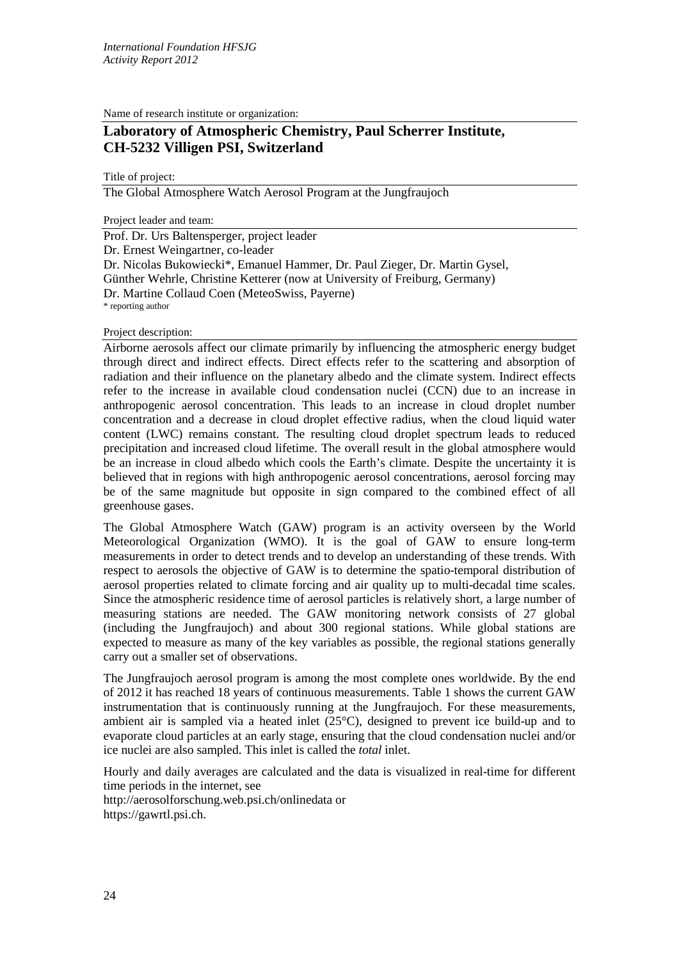Name of research institute or organization:

# **Laboratory of Atmospheric Chemistry, Paul Scherrer Institute, CH-5232 Villigen PSI, Switzerland**

Title of project:

The Global Atmosphere Watch Aerosol Program at the Jungfraujoch

Project leader and team:

Prof. Dr. Urs Baltensperger, project leader Dr. Ernest Weingartner, co-leader Dr. Nicolas Bukowiecki\*, Emanuel Hammer, Dr. Paul Zieger, Dr. Martin Gysel, Günther Wehrle, Christine Ketterer (now at University of Freiburg, Germany) Dr. Martine Collaud Coen (MeteoSwiss, Payerne) \* reporting author

Project description:

Airborne aerosols affect our climate primarily by influencing the atmospheric energy budget through direct and indirect effects. Direct effects refer to the scattering and absorption of radiation and their influence on the planetary albedo and the climate system. Indirect effects refer to the increase in available cloud condensation nuclei (CCN) due to an increase in anthropogenic aerosol concentration. This leads to an increase in cloud droplet number concentration and a decrease in cloud droplet effective radius, when the cloud liquid water content (LWC) remains constant. The resulting cloud droplet spectrum leads to reduced precipitation and increased cloud lifetime. The overall result in the global atmosphere would be an increase in cloud albedo which cools the Earth's climate. Despite the uncertainty it is believed that in regions with high anthropogenic aerosol concentrations, aerosol forcing may be of the same magnitude but opposite in sign compared to the combined effect of all greenhouse gases.

The Global Atmosphere Watch (GAW) program is an activity overseen by the World Meteorological Organization (WMO). It is the goal of GAW to ensure long-term measurements in order to detect trends and to develop an understanding of these trends. With respect to aerosols the objective of GAW is to determine the spatio-temporal distribution of aerosol properties related to climate forcing and air quality up to multi-decadal time scales. Since the atmospheric residence time of aerosol particles is relatively short, a large number of measuring stations are needed. The GAW monitoring network consists of 27 global (including the Jungfraujoch) and about 300 regional stations. While global stations are expected to measure as many of the key variables as possible, the regional stations generally carry out a smaller set of observations.

The Jungfraujoch aerosol program is among the most complete ones worldwide. By the end of 2012 it has reached 18 years of continuous measurements. Table 1 shows the current GAW instrumentation that is continuously running at the Jungfraujoch. For these measurements, ambient air is sampled via a heated inlet (25°C), designed to prevent ice build-up and to evaporate cloud particles at an early stage, ensuring that the cloud condensation nuclei and/or ice nuclei are also sampled. This inlet is called the *total* inlet.

Hourly and daily averages are calculated and the data is visualized in real-time for different time periods in the internet, see http://aerosolforschung.web.psi.ch/onlinedata or https://gawrtl.psi.ch.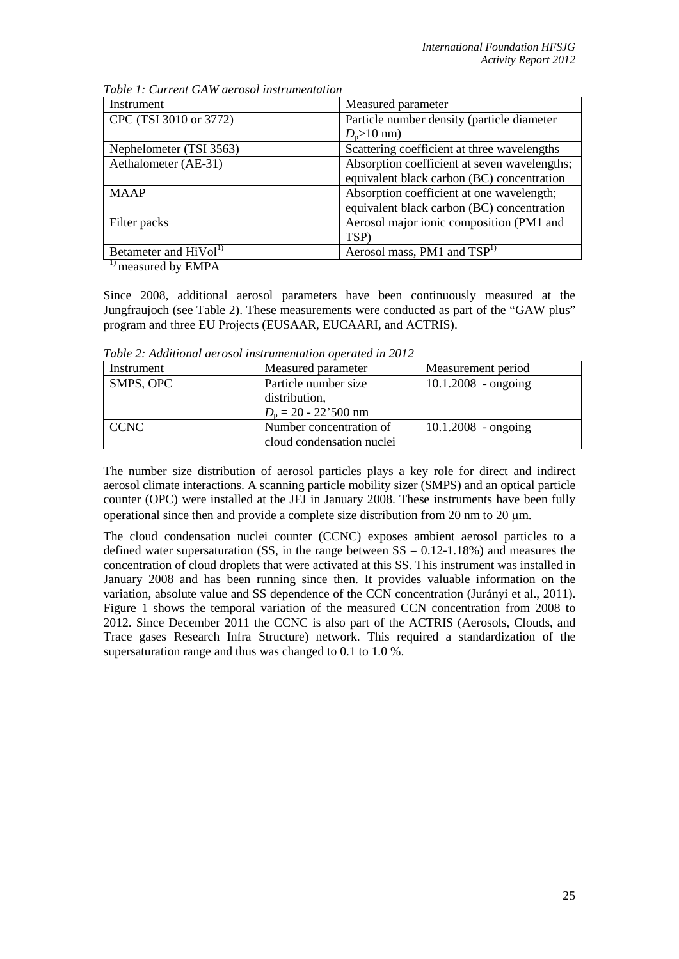| Instrument                        | Measured parameter                           |  |
|-----------------------------------|----------------------------------------------|--|
| CPC (TSI 3010 or 3772)            | Particle number density (particle diameter   |  |
|                                   | $D_p > 10$ nm)                               |  |
| Nephelometer (TSI 3563)           | Scattering coefficient at three wavelengths  |  |
| Aethalometer (AE-31)              | Absorption coefficient at seven wavelengths; |  |
|                                   | equivalent black carbon (BC) concentration   |  |
| <b>MAAP</b>                       | Absorption coefficient at one wavelength;    |  |
|                                   | equivalent black carbon (BC) concentration   |  |
| Filter packs                      | Aerosol major ionic composition (PM1 and     |  |
|                                   | TSP)                                         |  |
| Betameter and HiVol <sup>1)</sup> | Aerosol mass, PM1 and TSP <sup>1)</sup>      |  |

*Table 1: Current GAW aerosol instrumentation*

<sup>1)</sup> measured by EMPA

Since 2008, additional aerosol parameters have been continuously measured at the Jungfraujoch (see Table 2). These measurements were conducted as part of the "GAW plus" program and three EU Projects (EUSAAR, EUCAARI, and ACTRIS).

*Table 2: Additional aerosol instrumentation operated in 2012*

| Instrument  | Measured parameter        | Measurement period    |
|-------------|---------------------------|-----------------------|
| SMPS, OPC   | Particle number size      | $10.1.2008 -$ ongoing |
|             | distribution,             |                       |
|             | $D_p = 20 - 22'500$ nm    |                       |
| <b>CCNC</b> | Number concentration of   | $10.1.2008 - ongoing$ |
|             | cloud condensation nuclei |                       |

The number size distribution of aerosol particles plays a key role for direct and indirect aerosol climate interactions. A scanning particle mobility sizer (SMPS) and an optical particle counter (OPC) were installed at the JFJ in January 2008. These instruments have been fully operational since then and provide a complete size distribution from 20 nm to 20  $\mu$ m.

The cloud condensation nuclei counter (CCNC) exposes ambient aerosol particles to a defined water supersaturation (SS, in the range between  $SS = 0.12{\text -}1.18\%$ ) and measures the concentration of cloud droplets that were activated at this SS. This instrument was installed in January 2008 and has been running since then. It provides valuable information on the variation, absolute value and SS dependence of the CCN concentration (Jurányi et al., 2011). Figure 1 shows the temporal variation of the measured CCN concentration from 2008 to 2012. Since December 2011 the CCNC is also part of the ACTRIS (Aerosols, Clouds, and Trace gases Research Infra Structure) network. This required a standardization of the supersaturation range and thus was changed to 0.1 to 1.0 %.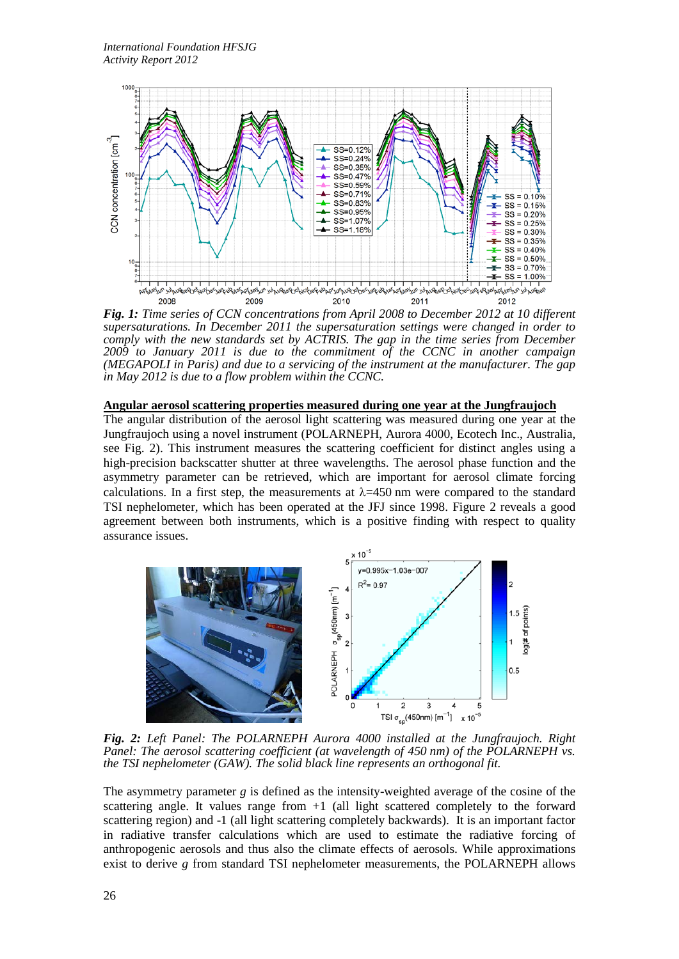

*Fig. 1: Time series of CCN concentrations from April 2008 to December 2012 at 10 different supersaturations. In December 2011 the supersaturation settings were changed in order to comply with the new standards set by ACTRIS. The gap in the time series from December 2009 to January 2011 is due to the commitment of the CCNC in another campaign (MEGAPOLI in Paris) and due to a servicing of the instrument at the manufacturer. The gap in May 2012 is due to a flow problem within the CCNC.*

## **Angular aerosol scattering properties measured during one year at the Jungfraujoch**

The angular distribution of the aerosol light scattering was measured during one year at the Jungfraujoch using a novel instrument (POLARNEPH, Aurora 4000, Ecotech Inc., Australia, see Fig. 2). This instrument measures the scattering coefficient for distinct angles using a high-precision backscatter shutter at three wavelengths. The aerosol phase function and the asymmetry parameter can be retrieved, which are important for aerosol climate forcing calculations. In a first step, the measurements at  $\lambda$ =450 nm were compared to the standard TSI nephelometer, which has been operated at the JFJ since 1998. [Figure 2](#page-2-0) reveals a good agreement between both instruments, which is a positive finding with respect to quality assurance issues.



<span id="page-2-0"></span>*Fig. 2: Left Panel: The POLARNEPH Aurora 4000 installed at the Jungfraujoch. Right Panel: The aerosol scattering coefficient (at wavelength of 450 nm) of the POLARNEPH vs. the TSI nephelometer (GAW). The solid black line represents an orthogonal fit.*

The asymmetry parameter *g* is defined as the intensity-weighted average of the cosine of the scattering angle. It values range from +1 (all light scattered completely to the forward scattering region) and -1 (all light scattering completely backwards). It is an important factor in radiative transfer calculations which are used to estimate the radiative forcing of anthropogenic aerosols and thus also the climate effects of aerosols. While approximations exist to derive *g* from standard TSI nephelometer measurements, the POLARNEPH allows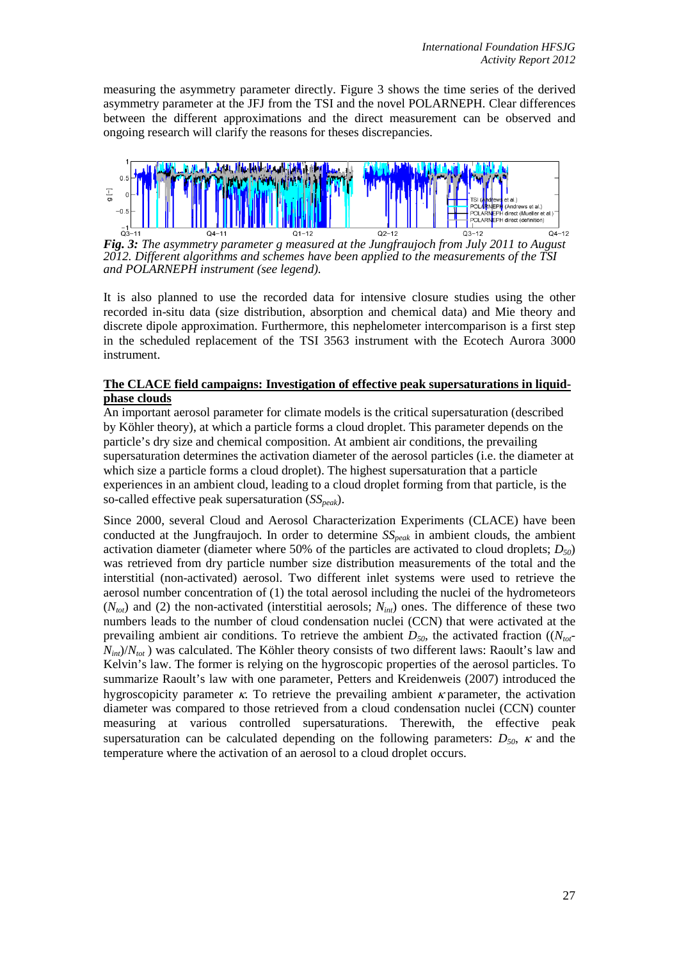measuring the asymmetry parameter directly. [Figure 3](#page-3-0) shows the time series of the derived asymmetry parameter at the JFJ from the TSI and the novel POLARNEPH. Clear differences between the different approximations and the direct measurement can be observed and ongoing research will clarify the reasons for theses discrepancies.



<span id="page-3-0"></span>*Fig. 3: The asymmetry parameter g measured at the Jungfraujoch from July 2011 to August 2012. Different algorithms and schemes have been applied to the measurements of the TSI and POLARNEPH instrument (see legend).*

It is also planned to use the recorded data for intensive closure studies using the other recorded in-situ data (size distribution, absorption and chemical data) and Mie theory and discrete dipole approximation. Furthermore, this nephelometer intercomparison is a first step in the scheduled replacement of the TSI 3563 instrument with the Ecotech Aurora 3000 instrument.

## **The CLACE field campaigns: Investigation of effective peak supersaturations in liquidphase clouds**

An important aerosol parameter for climate models is the critical supersaturation (described by Köhler theory), at which a particle forms a cloud droplet. This parameter depends on the particle's dry size and chemical composition. At ambient air conditions, the prevailing supersaturation determines the activation diameter of the aerosol particles (i.e. the diameter at which size a particle forms a cloud droplet). The highest supersaturation that a particle experiences in an ambient cloud, leading to a cloud droplet forming from that particle, is the so-called effective peak supersaturation (*SS<sub>peak</sub>*).

Since 2000, several Cloud and Aerosol Characterization Experiments (CLACE) have been conducted at the Jungfraujoch. In order to determine  $SS_{peak}$  in ambient clouds, the ambient activation diameter (diameter where 50% of the particles are activated to cloud droplets; *D50*) was retrieved from dry particle number size distribution measurements of the total and the interstitial (non-activated) aerosol. Two different inlet systems were used to retrieve the aerosol number concentration of (1) the total aerosol including the nuclei of the hydrometeors  $(N_{tot})$  and (2) the non-activated (interstitial aerosols;  $N_{int}$ ) ones. The difference of these two numbers leads to the number of cloud condensation nuclei (CCN) that were activated at the prevailing ambient air conditions. To retrieve the ambient  $D_{50}$ , the activated fraction (( $N_{tot}$ - $N_{int}/N_{tot}$ ) was calculated. The Köhler theory consists of two different laws: Raoult's law and Kelvin's law. The former is relying on the hygroscopic properties of the aerosol particles. To summarize Raoult's law with one parameter, Petters and Kreidenweis (2007) introduced the hygroscopicity parameter  $\kappa$ . To retrieve the prevailing ambient  $\kappa$  parameter, the activation diameter was compared to those retrieved from a cloud condensation nuclei (CCN) counter measuring at various controlled supersaturations. Therewith, the effective peak supersaturation can be calculated depending on the following parameters:  $D_{50}$ ,  $\kappa$  and the temperature where the activation of an aerosol to a cloud droplet occurs.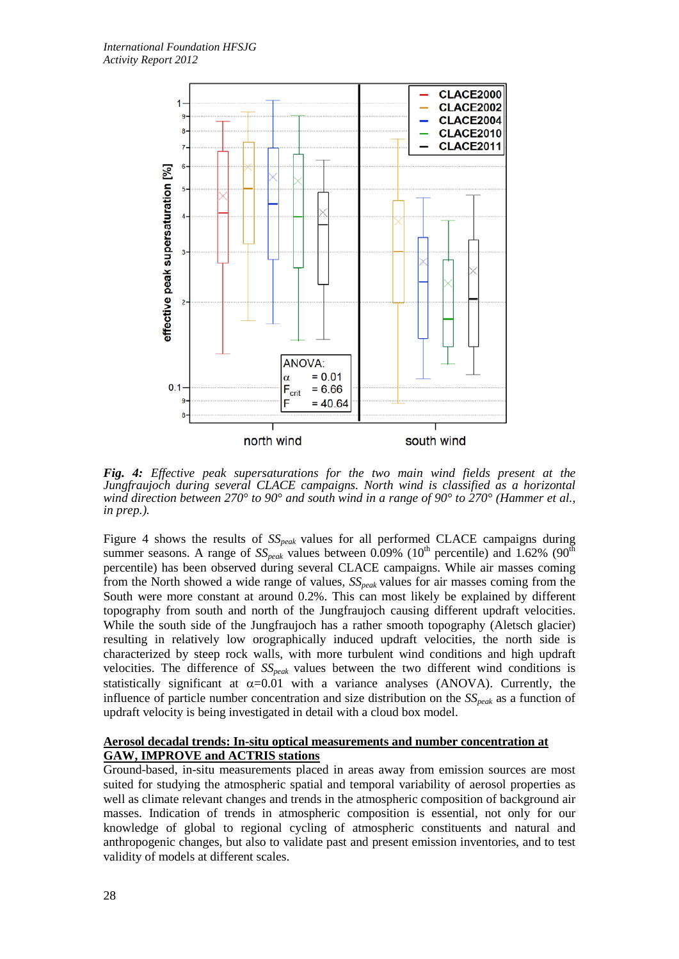

*Fig. 4: Effective peak supersaturations for the two main wind fields present at the Jungfraujoch during several CLACE campaigns. North wind is classified as a horizontal wind direction between 270° to 90° and south wind in a range of 90° to 270° (Hammer et al., in prep.).*

Figure 4 shows the results of  $SS_{peak}$  values for all performed CLACE campaigns during summer seasons. A range of  $SS_{peak}$  values between 0.09% (10<sup>th</sup> percentile) and 1.62% (90<sup>th</sup>) percentile) has been observed during several CLACE campaigns. While air masses coming from the North showed a wide range of values,  $SS_{peak}$  values for air masses coming from the South were more constant at around 0.2%. This can most likely be explained by different topography from south and north of the Jungfraujoch causing different updraft velocities. While the south side of the Jungfraujoch has a rather smooth topography (Aletsch glacier) resulting in relatively low orographically induced updraft velocities, the north side is characterized by steep rock walls, with more turbulent wind conditions and high updraft velocities. The difference of  $SS_{peak}$  values between the two different wind conditions is statistically significant at  $\alpha$ =0.01 with a variance analyses (ANOVA). Currently, the influence of particle number concentration and size distribution on the  $SS_{peak}$  as a function of updraft velocity is being investigated in detail with a cloud box model.

### **Aerosol decadal trends: In-situ optical measurements and number concentration at GAW, IMPROVE and ACTRIS stations**

Ground-based, in-situ measurements placed in areas away from emission sources are most suited for studying the atmospheric spatial and temporal variability of aerosol properties as well as climate relevant changes and trends in the atmospheric composition of background air masses. Indication of trends in atmospheric composition is essential, not only for our knowledge of global to regional cycling of atmospheric constituents and natural and anthropogenic changes, but also to validate past and present emission inventories, and to test validity of models at different scales.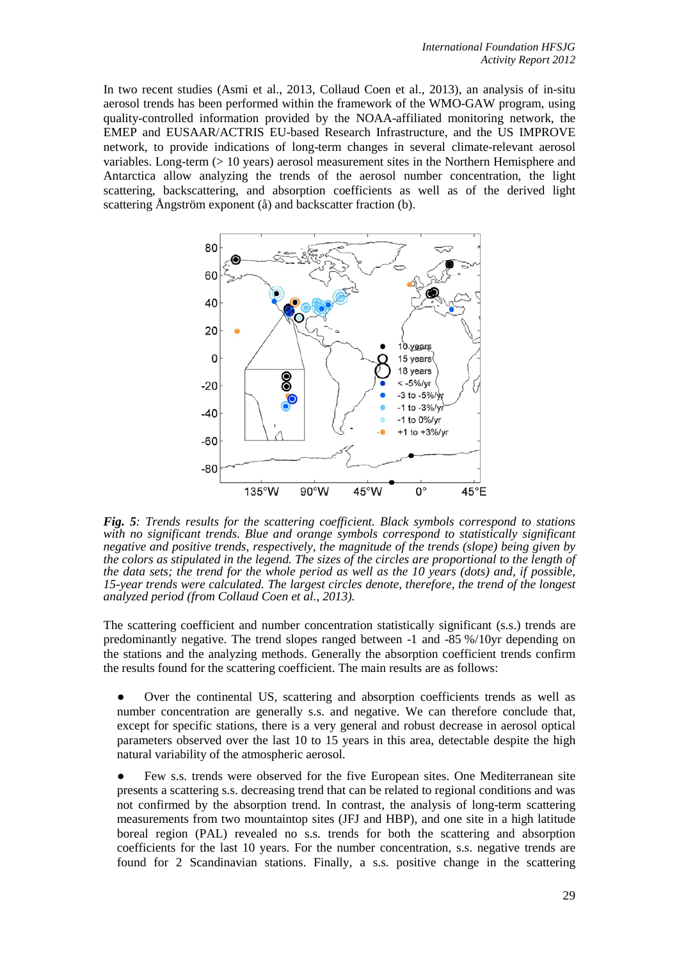In two recent studies (Asmi et al., 2013, Collaud Coen et al., 2013), an analysis of in-situ aerosol trends has been performed within the framework of the WMO-GAW program, using quality-controlled information provided by the NOAA-affiliated monitoring network, the EMEP and EUSAAR/ACTRIS EU-based Research Infrastructure, and the US IMPROVE network, to provide indications of long-term changes in several climate-relevant aerosol variables. Long-term (> 10 years) aerosol measurement sites in the Northern Hemisphere and Antarctica allow analyzing the trends of the aerosol number concentration, the light scattering, backscattering, and absorption coefficients as well as of the derived light scattering Ångström exponent (å) and backscatter fraction (b).



*Fig. 5: Trends results for the scattering coefficient. Black symbols correspond to stations with no significant trends. Blue and orange symbols correspond to statistically significant negative and positive trends, respectively, the magnitude of the trends (slope) being given by the colors as stipulated in the legend. The sizes of the circles are proportional to the length of the data sets; the trend for the whole period as well as the 10 years (dots) and, if possible, 15-year trends were calculated. The largest circles denote, therefore, the trend of the longest analyzed period (from Collaud Coen et al., 2013).* 

The scattering coefficient and number concentration statistically significant (s.s.) trends are predominantly negative. The trend slopes ranged between -1 and -85 %/10yr depending on the stations and the analyzing methods. Generally the absorption coefficient trends confirm the results found for the scattering coefficient. The main results are as follows:

Over the continental US, scattering and absorption coefficients trends as well as number concentration are generally s.s. and negative. We can therefore conclude that, except for specific stations, there is a very general and robust decrease in aerosol optical parameters observed over the last 10 to 15 years in this area, detectable despite the high natural variability of the atmospheric aerosol.

● Few s.s. trends were observed for the five European sites. One Mediterranean site presents a scattering s.s. decreasing trend that can be related to regional conditions and was not confirmed by the absorption trend. In contrast, the analysis of long-term scattering measurements from two mountaintop sites (JFJ and HBP), and one site in a high latitude boreal region (PAL) revealed no s.s. trends for both the scattering and absorption coefficients for the last 10 years. For the number concentration, s.s. negative trends are found for 2 Scandinavian stations. Finally, a s.s. positive change in the scattering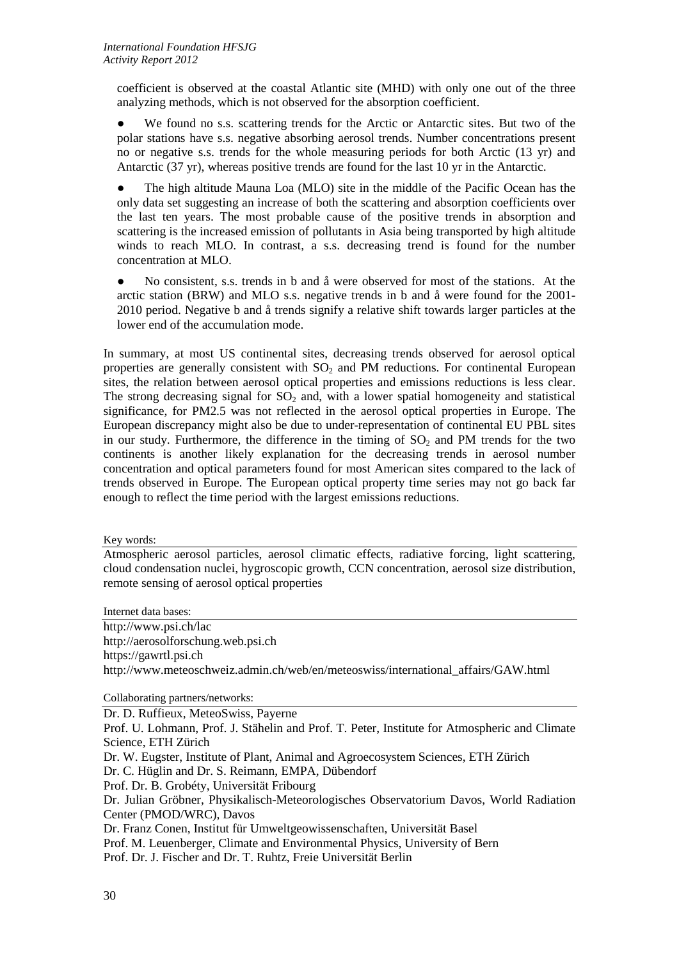coefficient is observed at the coastal Atlantic site (MHD) with only one out of the three analyzing methods, which is not observed for the absorption coefficient.

● We found no s.s. scattering trends for the Arctic or Antarctic sites. But two of the polar stations have s.s. negative absorbing aerosol trends. Number concentrations present no or negative s.s. trends for the whole measuring periods for both Arctic (13 yr) and Antarctic (37 yr), whereas positive trends are found for the last 10 yr in the Antarctic.

The high altitude Mauna Loa (MLO) site in the middle of the Pacific Ocean has the only data set suggesting an increase of both the scattering and absorption coefficients over the last ten years. The most probable cause of the positive trends in absorption and scattering is the increased emission of pollutants in Asia being transported by high altitude winds to reach MLO. In contrast, a s.s. decreasing trend is found for the number concentration at MLO.

● No consistent, s.s. trends in b and å were observed for most of the stations. At the arctic station (BRW) and MLO s.s. negative trends in b and å were found for the 2001- 2010 period. Negative b and å trends signify a relative shift towards larger particles at the lower end of the accumulation mode.

In summary, at most US continental sites, decreasing trends observed for aerosol optical properties are generally consistent with  $SO<sub>2</sub>$  and PM reductions. For continental European sites, the relation between aerosol optical properties and emissions reductions is less clear. The strong decreasing signal for  $SO<sub>2</sub>$  and, with a lower spatial homogeneity and statistical significance, for PM2.5 was not reflected in the aerosol optical properties in Europe. The European discrepancy might also be due to under-representation of continental EU PBL sites in our study. Furthermore, the difference in the timing of  $SO<sub>2</sub>$  and PM trends for the two continents is another likely explanation for the decreasing trends in aerosol number concentration and optical parameters found for most American sites compared to the lack of trends observed in Europe. The European optical property time series may not go back far enough to reflect the time period with the largest emissions reductions.

Key words:

Atmospheric aerosol particles, aerosol climatic effects, radiative forcing, light scattering, cloud condensation nuclei, hygroscopic growth, CCN concentration, aerosol size distribution, remote sensing of aerosol optical properties

Internet data bases:

<http://www.psi.ch/lac> [http://aerosolforschung.web.psi.ch](http://aerosolforschung.web.psi.ch/) [https://gawrtl.psi.ch](https://gawrtl.psi.ch/) [http://www.meteoschweiz.admin.ch/web/en/meteoswiss/international\\_affairs/GAW.html](http://www.meteoschweiz.admin.ch/web/en/meteoswiss/international_affairs/GAW.html)

Collaborating partners/networks:

Dr. D. Ruffieux, MeteoSwiss, Payerne Prof. U. Lohmann, Prof. J. Stähelin and Prof. T. Peter, Institute for Atmospheric and Climate Science, ETH Zürich Dr. W. Eugster, Institute of Plant, Animal and Agroecosystem Sciences, ETH Zürich Dr. C. Hüglin and Dr. S. Reimann, EMPA, Dübendorf Prof. Dr. B. Grobéty, Universität Fribourg Dr. Julian Gröbner, Physikalisch-Meteorologisches Observatorium Davos, World Radiation Center (PMOD/WRC), Davos Dr. Franz Conen, Institut für Umweltgeowissenschaften, Universität Basel Prof. M. Leuenberger, Climate and Environmental Physics, University of Bern Prof. Dr. J. Fischer and Dr. T. Ruhtz, Freie Universität Berlin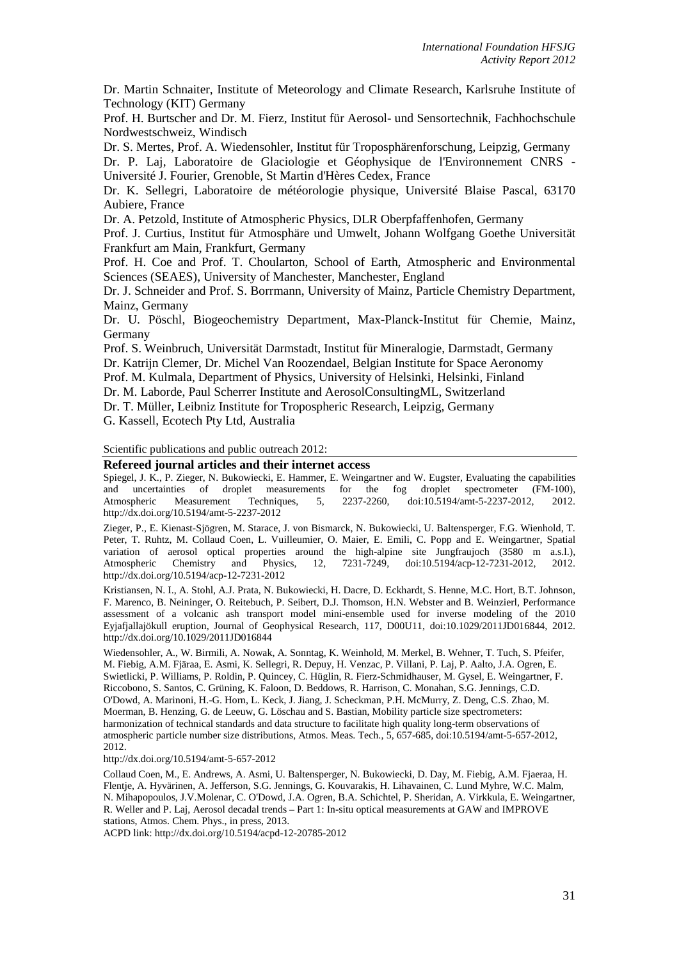Dr. Martin Schnaiter, Institute of Meteorology and Climate Research, Karlsruhe Institute of Technology (KIT) Germany

Prof. H. Burtscher and Dr. M. Fierz, Institut für Aerosol- und Sensortechnik, Fachhochschule Nordwestschweiz, Windisch

Dr. S. Mertes, Prof. A. Wiedensohler, Institut für Troposphärenforschung, Leipzig, Germany

Dr. P. Laj, Laboratoire de Glaciologie et Géophysique de l'Environnement CNRS - Université J. Fourier, Grenoble, St Martin d'Hères Cedex, France

Dr. K. Sellegri, Laboratoire de météorologie physique, Université Blaise Pascal, 63170 Aubiere, France

Dr. A. Petzold, Institute of Atmospheric Physics, DLR Oberpfaffenhofen, Germany

Prof. J. Curtius, Institut für Atmosphäre und Umwelt, Johann Wolfgang Goethe Universität Frankfurt am Main, Frankfurt, Germany

Prof. H. Coe and Prof. T. Choularton, School of Earth, Atmospheric and Environmental Sciences (SEAES), University of Manchester, Manchester, England

Dr. J. Schneider and Prof. S. Borrmann, University of Mainz, Particle Chemistry Department, Mainz, Germany

Dr. U. Pöschl, Biogeochemistry Department, Max-Planck-Institut für Chemie, Mainz, Germany

Prof. S. Weinbruch, Universität Darmstadt, Institut für Mineralogie, Darmstadt, Germany Dr. Katrijn Clemer, Dr. Michel Van Roozendael, Belgian Institute for Space Aeronomy Prof. M. Kulmala, Department of Physics, University of Helsinki, Helsinki, Finland

Dr. M. Laborde, Paul Scherrer Institute and AerosolConsultingML, Switzerland

Dr. T. Müller, Leibniz Institute for Tropospheric Research, Leipzig, Germany G. Kassell, Ecotech Pty Ltd, Australia

Scientific publications and public outreach 2012:

### **Refereed journal articles and their internet access**

Spiegel, J. K., P. Zieger, N. Bukowiecki, E. Hammer, E. Weingartner and W. Eugster, Evaluating the capabilities and uncertainties of droplet measurements for the fog droplet spectrometer (FM-100), Atmospheric Measurement Techniques, 5, 2237-2260, doi:10.5194/amt-5-2237-2012, 2012. http://dx.doi.org/10.5194/amt-5-2237-2012

Zieger, P., E. Kienast-Sjögren, M. Starace, J. von Bismarck, N. Bukowiecki, U. Baltensperger, F.G. Wienhold, T. Peter, T. Ruhtz, M. Collaud Coen, L. Vuilleumier, O. Maier, E. Emili, C. Popp and E. Weingartner, Spatial variation of aerosol optical properties around the high-alpine site Jungfraujoch (3580 m a.s.l.),<br>Atmospheric Chemistry and Physics, 12, 7231-7249, doi:10.5194/acp-12-7231-2012, 2012. Atmospheric Chemistry and Physics, 12, 7231-7249, doi:10.5194/acp-12-7231-2012, 2012. http://dx.doi.org/10.5194/acp-12-7231-2012

Kristiansen, N. I., A. Stohl, A.J. Prata, N. Bukowiecki, H. Dacre, D. Eckhardt, S. Henne, M.C. Hort, B.T. Johnson, F. Marenco, B. Neininger, O. Reitebuch, P. Seibert, D.J. Thomson, H.N. Webster and B. Weinzierl, Performance assessment of a volcanic ash transport model mini-ensemble used for inverse modeling of the 2010 Eyjafjallajökull eruption, Journal of Geophysical Research, 117, D00U11, doi:10.1029/2011JD016844, 2012. http://dx.doi.org/10.1029/2011JD016844

Wiedensohler, A., W. Birmili, A. Nowak, A. Sonntag, K. Weinhold, M. Merkel, B. Wehner, T. Tuch, S. Pfeifer, M. Fiebig, A.M. Fjäraa, E. Asmi, K. Sellegri, R. Depuy, H. Venzac, P. Villani, P. Laj, P. Aalto, J.A. Ogren, E. Swietlicki, P. Williams, P. Roldin, P. Quincey, C. Hüglin, R. Fierz-Schmidhauser, M. Gysel, E. Weingartner, F. Riccobono, S. Santos, C. Grüning, K. Faloon, D. Beddows, R. Harrison, C. Monahan, S.G. Jennings, C.D. O'Dowd, A. Marinoni, H.-G. Horn, L. Keck, J. Jiang, J. Scheckman, P.H. McMurry, Z. Deng, C.S. Zhao, M. Moerman, B. Henzing, G. de Leeuw, G. Löschau and S. Bastian, Mobility particle size spectrometers: harmonization of technical standards and data structure to facilitate high quality long-term observations of atmospheric particle number size distributions, Atmos. Meas. Tech., 5, 657-685, doi:10.5194/amt-5-657-2012, 2012.

#### http://dx.doi.org/10.5194/amt-5-657-2012

Collaud Coen, M., E. Andrews, A. Asmi, U. Baltensperger, N. Bukowiecki, D. Day, M. Fiebig, A.M. Fjaeraa, H. Flentje, A. Hyvärinen, A. Jefferson, S.G. Jennings, G. Kouvarakis, H. Lihavainen, C. Lund Myhre, W.C. Malm, N. Mihapopoulos, J.V.Molenar, C. O'Dowd, J.A. Ogren, B.A. Schichtel, P. Sheridan, A. Virkkula, E. Weingartner, R. Weller and P. Laj, Aerosol decadal trends – Part 1: In-situ optical measurements at GAW and IMPROVE stations, Atmos. Chem. Phys., in press, 2013.

ACPD link: http://dx.doi.org/10.5194/acpd-12-20785-2012